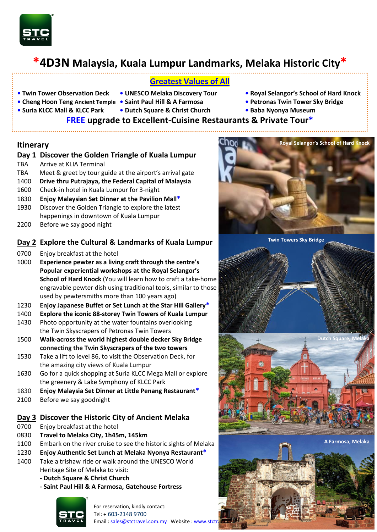

# **\*4D3N Malaysia, Kuala Lumpur Landmarks, Melaka Historic City\***

- **Greatest Values of All**
- 
- **• Cheng Hoon Teng Ancient Temple Saint Paul Hill & A Farmosa Petronas Twin Tower Sky Bridge**
- **Suria KLCC Mall & KLCC Park Dutch Square & Christ Church • Baba Nyonya Museum**
- **• Twin Tower Observation Deck UNESCO Melaka Discovery Tour Royal Selangor's School of Hard Knock**
- 
- 
- 

- 
- 

# **FREE upgrade to Excellent-Cuisine Restaurants & Private Tour\***

#### **Itinerary**

- **Day 1 Discover the Golden Triangle of Kuala Lumpur**
- TBA Arrive at KLIA Terminal
- TBA Meet & greet by tour guide at the airport's arrival gate
- 1400 **Drive thru Putrajaya, the Federal Capital of Malaysia**
- 1600 Check-in hotel in Kuala Lumpur for 3-night
- 1830 **Enjoy Malaysian Set Dinner at the Pavilion Mall\***
- 1930 Discover the Golden Triangle to explore the latest happenings in downtown of Kuala Lumpur
- 2200 Before we say good night

### **Day 2 Explore the Cultural & Landmarks of Kuala Lumpur**

- 0700 Enjoy breakfast at the hotel
- 1000 **Experience pewter as a living craft through the centre's Popular experiential workshops at the Royal Selangor's School of Hard Knock** (You will learn how to craft a take-home engravable pewter dish using traditional tools, similar to those used by pewtersmiths more than 100 years ago)
- 1230 **Enjoy Japanese Buffet or Set Lunch at the Star Hill Gallery\***
- 1400 **Explore the iconic 88-storey Twin Towers of Kuala Lumpur**
- 1430 Photo opportunity at the water fountains overlooking the Twin Skyscrapers of Petronas Twin Towers
- 1500 **Walk-across the world highest double decker Sky Bridge connecting the Twin Skyscrapers of the two towers**
- 1530 Take a lift to level 86, to visit the Observation Deck, for the amazing city views of Kuala Lumpur
- 1630 Go for a quick shopping at Suria KLCC Mega Mall or explore the greenery & Lake Symphony of KLCC Park
- 1830 **Enjoy Malaysia Set Dinner at Little Penang Restaurant\***
- 2100 Before we say goodnight

#### **Day 3 Discover the Historic City of Ancient Melaka**

- 0700 Enjoy breakfast at the hotel
- 0830 **Travel to Melaka City, 1h45m, 145km**
- 1100 Embark on the river cruise to see the historic sights of Melaka
- 1230 **Enjoy Authentic Set Lunch at Melaka Nyonya Restaurant\***
- 1400 Take a trishaw ride or walk around the UNESCO World Heritage Site of Melaka to visit:
	- **- Dutch Square & Christ Church**
	- **- Saint Paul Hill & A Farmosa, Gatehouse Fortress**



For reservation, kindly contact: Tel: + 603-2148 9700 Email[: sales@stctravel.com.my](mailto:sales@stctravel.com.my) Website: www.stctr



**Twin Towers Sky Bridge**



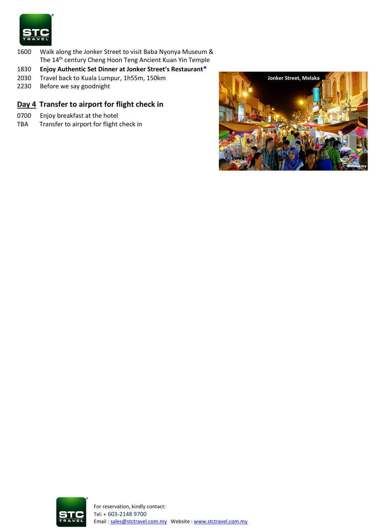

- 1600 Walk along the Jonker Street to visit Baba Nyonya Museum & The 14th century Cheng Hoon Teng Ancient Kuan Yin Temple
- 1830 **Enjoy Authentic Set Dinner at Jonker Street's Restaurant\***
- Travel back to Kuala Lumpur, 1h55m, 150km
- 2230 Before we say goodnight

## **Day 4 Transfer to airport for flight check in**

- 0700 Enjoy breakfast at the hotel
- TBA Transfer to airport for flight check in



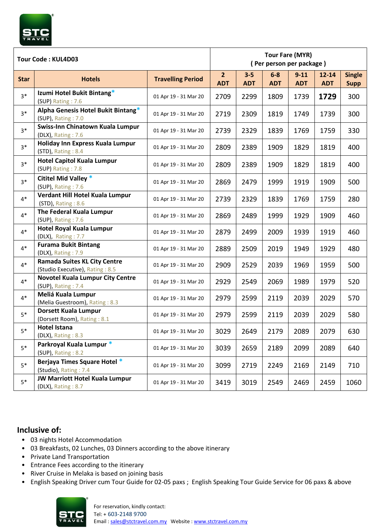

#### **Inclusive of:**

- 03 nights Hotel Accommodation
- 03 Breakfasts, 02 Lunches, 03 Dinners according to the above itinerary
- Private Land Transportation
- Entrance Fees according to the itinerary
- River Cruise in Melaka is based on joining basis
- English Speaking Driver cum Tour Guide for 02-05 paxs ; English Speaking Tour Guide Service for 06 paxs & above